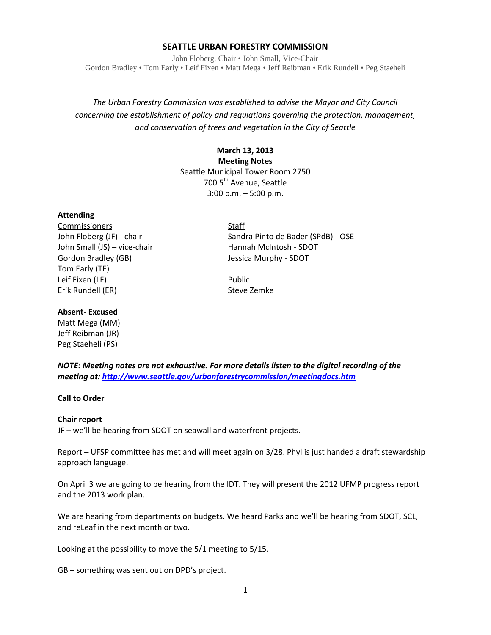## **SEATTLE URBAN FORESTRY COMMISSION**

John Floberg, Chair • John Small, Vice-Chair Gordon Bradley • Tom Early • Leif Fixen • Matt Mega • Jeff Reibman • Erik Rundell • Peg Staeheli

# *The Urban Forestry Commission was established to advise the Mayor and City Council concerning the establishment of policy and regulations governing the protection, management, and conservation of trees and vegetation in the City of Seattle*

# **March 13, 2013 Meeting Notes** Seattle Municipal Tower Room 2750 700 5<sup>th</sup> Avenue, Seattle 3:00 p.m. – 5:00 p.m.

#### **Attending**

Commissioners Staff John Small (JS) – vice-chair Hannah McIntosh - SDOT Gordon Bradley (GB) Jessica Murphy - SDOT Tom Early (TE) Leif Fixen (LF) Department of the Public Public Public Erik Rundell (ER) Steve Zemke

John Floberg (JF) - chair Sandra Pinto de Bader (SPdB) - OSE

## **Absent- Excused**

Matt Mega (MM) Jeff Reibman (JR) Peg Staeheli (PS)

*NOTE: Meeting notes are not exhaustive. For more details listen to the digital recording of the meeting at[: http://www.seattle.gov/urbanforestrycommission/meetingdocs.htm](http://www.seattle.gov/urbanforestrycommission/meetingdocs.htm)*

#### **Call to Order**

# **Chair report**

JF – we'll be hearing from SDOT on seawall and waterfront projects.

Report – UFSP committee has met and will meet again on 3/28. Phyllis just handed a draft stewardship approach language.

On April 3 we are going to be hearing from the IDT. They will present the 2012 UFMP progress report and the 2013 work plan.

We are hearing from departments on budgets. We heard Parks and we'll be hearing from SDOT, SCL, and reLeaf in the next month or two.

Looking at the possibility to move the 5/1 meeting to 5/15.

GB – something was sent out on DPD's project.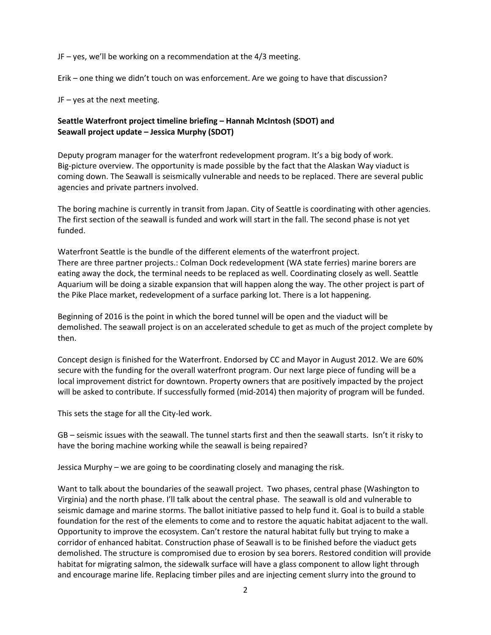JF – yes, we'll be working on a recommendation at the 4/3 meeting.

Erik – one thing we didn't touch on was enforcement. Are we going to have that discussion?

JF – yes at the next meeting.

# **Seattle Waterfront project timeline briefing – Hannah McIntosh (SDOT) and Seawall project update – Jessica Murphy (SDOT)**

Deputy program manager for the waterfront redevelopment program. It's a big body of work. Big-picture overview. The opportunity is made possible by the fact that the Alaskan Way viaduct is coming down. The Seawall is seismically vulnerable and needs to be replaced. There are several public agencies and private partners involved.

The boring machine is currently in transit from Japan. City of Seattle is coordinating with other agencies. The first section of the seawall is funded and work will start in the fall. The second phase is not yet funded.

Waterfront Seattle is the bundle of the different elements of the waterfront project. There are three partner projects.: Colman Dock redevelopment (WA state ferries) marine borers are eating away the dock, the terminal needs to be replaced as well. Coordinating closely as well. Seattle Aquarium will be doing a sizable expansion that will happen along the way. The other project is part of the Pike Place market, redevelopment of a surface parking lot. There is a lot happening.

Beginning of 2016 is the point in which the bored tunnel will be open and the viaduct will be demolished. The seawall project is on an accelerated schedule to get as much of the project complete by then.

Concept design is finished for the Waterfront. Endorsed by CC and Mayor in August 2012. We are 60% secure with the funding for the overall waterfront program. Our next large piece of funding will be a local improvement district for downtown. Property owners that are positively impacted by the project will be asked to contribute. If successfully formed (mid-2014) then majority of program will be funded.

This sets the stage for all the City-led work.

GB – seismic issues with the seawall. The tunnel starts first and then the seawall starts. Isn't it risky to have the boring machine working while the seawall is being repaired?

Jessica Murphy – we are going to be coordinating closely and managing the risk.

Want to talk about the boundaries of the seawall project. Two phases, central phase (Washington to Virginia) and the north phase. I'll talk about the central phase. The seawall is old and vulnerable to seismic damage and marine storms. The ballot initiative passed to help fund it. Goal is to build a stable foundation for the rest of the elements to come and to restore the aquatic habitat adjacent to the wall. Opportunity to improve the ecosystem. Can't restore the natural habitat fully but trying to make a corridor of enhanced habitat. Construction phase of Seawall is to be finished before the viaduct gets demolished. The structure is compromised due to erosion by sea borers. Restored condition will provide habitat for migrating salmon, the sidewalk surface will have a glass component to allow light through and encourage marine life. Replacing timber piles and are injecting cement slurry into the ground to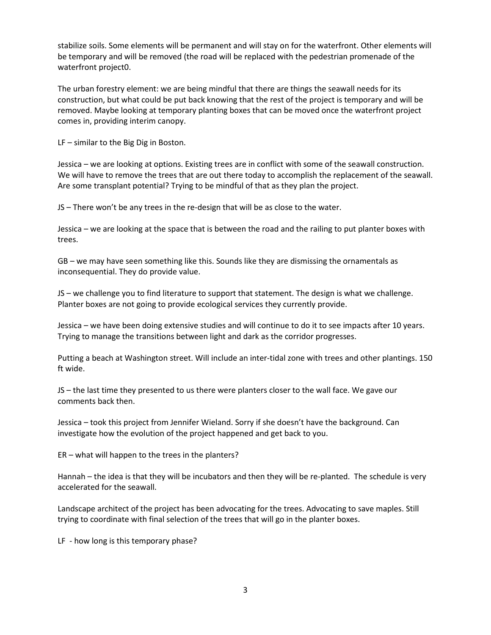stabilize soils. Some elements will be permanent and will stay on for the waterfront. Other elements will be temporary and will be removed (the road will be replaced with the pedestrian promenade of the waterfront project0.

The urban forestry element: we are being mindful that there are things the seawall needs for its construction, but what could be put back knowing that the rest of the project is temporary and will be removed. Maybe looking at temporary planting boxes that can be moved once the waterfront project comes in, providing interim canopy.

LF – similar to the Big Dig in Boston.

Jessica – we are looking at options. Existing trees are in conflict with some of the seawall construction. We will have to remove the trees that are out there today to accomplish the replacement of the seawall. Are some transplant potential? Trying to be mindful of that as they plan the project.

JS – There won't be any trees in the re-design that will be as close to the water.

Jessica – we are looking at the space that is between the road and the railing to put planter boxes with trees.

GB – we may have seen something like this. Sounds like they are dismissing the ornamentals as inconsequential. They do provide value.

JS – we challenge you to find literature to support that statement. The design is what we challenge. Planter boxes are not going to provide ecological services they currently provide.

Jessica – we have been doing extensive studies and will continue to do it to see impacts after 10 years. Trying to manage the transitions between light and dark as the corridor progresses.

Putting a beach at Washington street. Will include an inter-tidal zone with trees and other plantings. 150 ft wide.

JS – the last time they presented to us there were planters closer to the wall face. We gave our comments back then.

Jessica – took this project from Jennifer Wieland. Sorry if she doesn't have the background. Can investigate how the evolution of the project happened and get back to you.

ER – what will happen to the trees in the planters?

Hannah – the idea is that they will be incubators and then they will be re-planted. The schedule is very accelerated for the seawall.

Landscape architect of the project has been advocating for the trees. Advocating to save maples. Still trying to coordinate with final selection of the trees that will go in the planter boxes.

LF - how long is this temporary phase?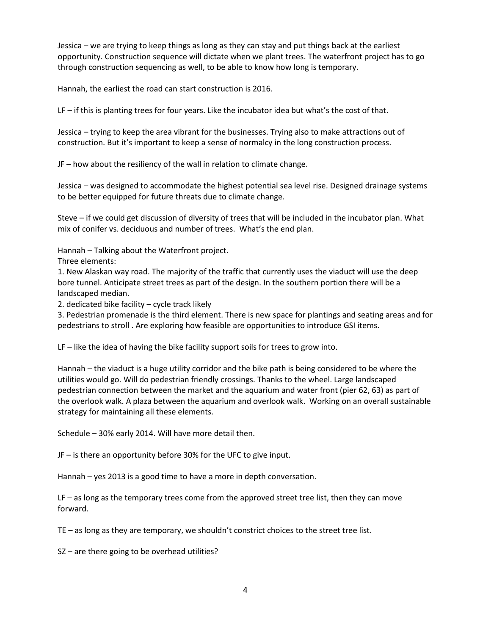Jessica – we are trying to keep things as long as they can stay and put things back at the earliest opportunity. Construction sequence will dictate when we plant trees. The waterfront project has to go through construction sequencing as well, to be able to know how long is temporary.

Hannah, the earliest the road can start construction is 2016.

LF – if this is planting trees for four years. Like the incubator idea but what's the cost of that.

Jessica – trying to keep the area vibrant for the businesses. Trying also to make attractions out of construction. But it's important to keep a sense of normalcy in the long construction process.

JF – how about the resiliency of the wall in relation to climate change.

Jessica – was designed to accommodate the highest potential sea level rise. Designed drainage systems to be better equipped for future threats due to climate change.

Steve – if we could get discussion of diversity of trees that will be included in the incubator plan. What mix of conifer vs. deciduous and number of trees. What's the end plan.

Hannah – Talking about the Waterfront project.

Three elements:

1. New Alaskan way road. The majority of the traffic that currently uses the viaduct will use the deep bore tunnel. Anticipate street trees as part of the design. In the southern portion there will be a landscaped median.

2. dedicated bike facility – cycle track likely

3. Pedestrian promenade is the third element. There is new space for plantings and seating areas and for pedestrians to stroll . Are exploring how feasible are opportunities to introduce GSI items.

LF – like the idea of having the bike facility support soils for trees to grow into.

Hannah – the viaduct is a huge utility corridor and the bike path is being considered to be where the utilities would go. Will do pedestrian friendly crossings. Thanks to the wheel. Large landscaped pedestrian connection between the market and the aquarium and water front (pier 62, 63) as part of the overlook walk. A plaza between the aquarium and overlook walk. Working on an overall sustainable strategy for maintaining all these elements.

Schedule – 30% early 2014. Will have more detail then.

JF – is there an opportunity before 30% for the UFC to give input.

Hannah – yes 2013 is a good time to have a more in depth conversation.

LF – as long as the temporary trees come from the approved street tree list, then they can move forward.

TE – as long as they are temporary, we shouldn't constrict choices to the street tree list.

SZ – are there going to be overhead utilities?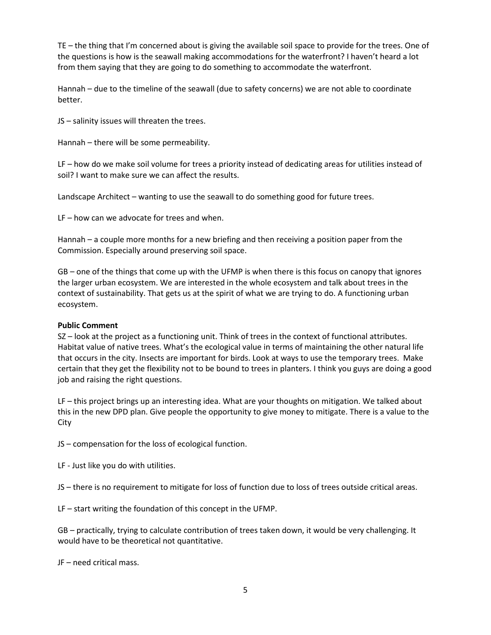TE – the thing that I'm concerned about is giving the available soil space to provide for the trees. One of the questions is how is the seawall making accommodations for the waterfront? I haven't heard a lot from them saying that they are going to do something to accommodate the waterfront.

Hannah – due to the timeline of the seawall (due to safety concerns) we are not able to coordinate better.

JS – salinity issues will threaten the trees.

Hannah – there will be some permeability.

LF – how do we make soil volume for trees a priority instead of dedicating areas for utilities instead of soil? I want to make sure we can affect the results.

Landscape Architect – wanting to use the seawall to do something good for future trees.

LF – how can we advocate for trees and when.

Hannah – a couple more months for a new briefing and then receiving a position paper from the Commission. Especially around preserving soil space.

GB – one of the things that come up with the UFMP is when there is this focus on canopy that ignores the larger urban ecosystem. We are interested in the whole ecosystem and talk about trees in the context of sustainability. That gets us at the spirit of what we are trying to do. A functioning urban ecosystem.

## **Public Comment**

SZ – look at the project as a functioning unit. Think of trees in the context of functional attributes. Habitat value of native trees. What's the ecological value in terms of maintaining the other natural life that occurs in the city. Insects are important for birds. Look at ways to use the temporary trees. Make certain that they get the flexibility not to be bound to trees in planters. I think you guys are doing a good job and raising the right questions.

LF – this project brings up an interesting idea. What are your thoughts on mitigation. We talked about this in the new DPD plan. Give people the opportunity to give money to mitigate. There is a value to the City

JS – compensation for the loss of ecological function.

LF - Just like you do with utilities.

JS – there is no requirement to mitigate for loss of function due to loss of trees outside critical areas.

LF – start writing the foundation of this concept in the UFMP.

GB – practically, trying to calculate contribution of trees taken down, it would be very challenging. It would have to be theoretical not quantitative.

JF – need critical mass.